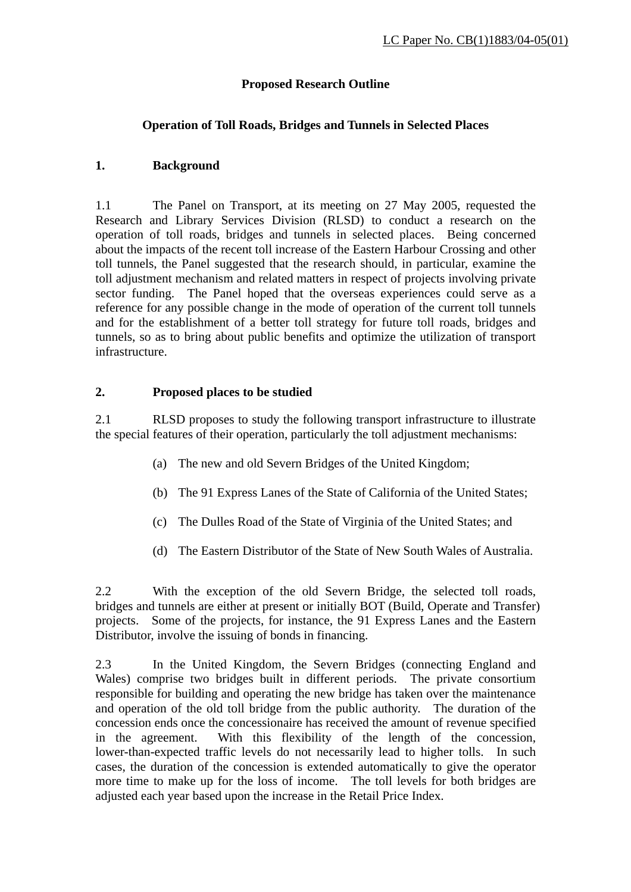## **Proposed Research Outline**

## **Operation of Toll Roads, Bridges and Tunnels in Selected Places**

## **1. Background**

1.1 The Panel on Transport, at its meeting on 27 May 2005, requested the Research and Library Services Division (RLSD) to conduct a research on the operation of toll roads, bridges and tunnels in selected places. Being concerned about the impacts of the recent toll increase of the Eastern Harbour Crossing and other toll tunnels, the Panel suggested that the research should, in particular, examine the toll adjustment mechanism and related matters in respect of projects involving private sector funding. The Panel hoped that the overseas experiences could serve as a reference for any possible change in the mode of operation of the current toll tunnels and for the establishment of a better toll strategy for future toll roads, bridges and tunnels, so as to bring about public benefits and optimize the utilization of transport infrastructure.

#### **2. Proposed places to be studied**

2.1 RLSD proposes to study the following transport infrastructure to illustrate the special features of their operation, particularly the toll adjustment mechanisms:

- (a) The new and old Severn Bridges of the United Kingdom;
- (b) The 91 Express Lanes of the State of California of the United States;
- (c) The Dulles Road of the State of Virginia of the United States; and
- (d) The Eastern Distributor of the State of New South Wales of Australia.

2.2 With the exception of the old Severn Bridge, the selected toll roads, bridges and tunnels are either at present or initially BOT (Build, Operate and Transfer) projects. Some of the projects, for instance, the 91 Express Lanes and the Eastern Distributor, involve the issuing of bonds in financing.

2.3 In the United Kingdom, the Severn Bridges (connecting England and Wales) comprise two bridges built in different periods. The private consortium responsible for building and operating the new bridge has taken over the maintenance and operation of the old toll bridge from the public authority. The duration of the concession ends once the concessionaire has received the amount of revenue specified in the agreement. With this flexibility of the length of the concession, lower-than-expected traffic levels do not necessarily lead to higher tolls. In such cases, the duration of the concession is extended automatically to give the operator more time to make up for the loss of income. The toll levels for both bridges are adjusted each year based upon the increase in the Retail Price Index.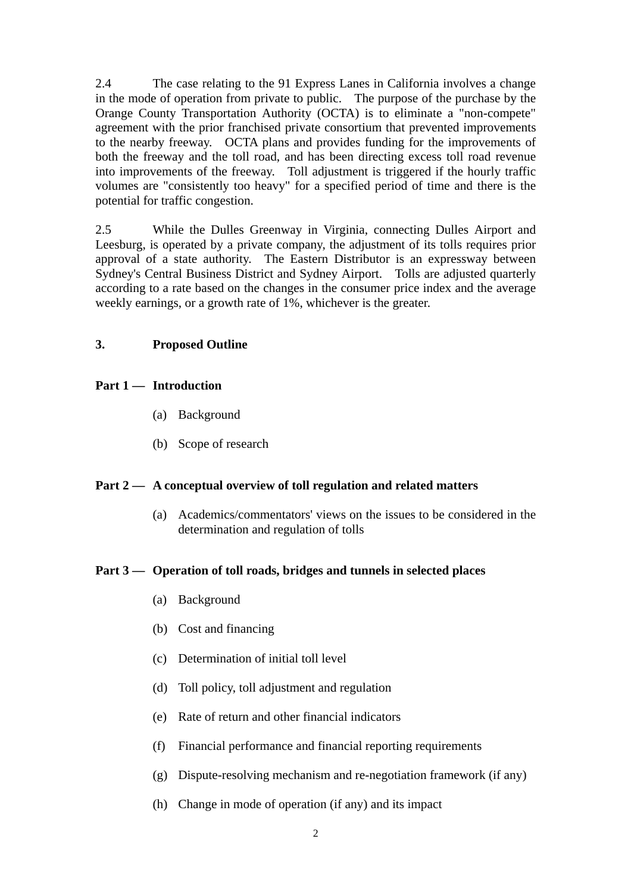2.4 The case relating to the 91 Express Lanes in California involves a change in the mode of operation from private to public. The purpose of the purchase by the Orange County Transportation Authority (OCTA) is to eliminate a "non-compete" agreement with the prior franchised private consortium that prevented improvements to the nearby freeway. OCTA plans and provides funding for the improvements of both the freeway and the toll road, and has been directing excess toll road revenue into improvements of the freeway. Toll adjustment is triggered if the hourly traffic volumes are "consistently too heavy" for a specified period of time and there is the potential for traffic congestion.

2.5 While the Dulles Greenway in Virginia, connecting Dulles Airport and Leesburg, is operated by a private company, the adjustment of its tolls requires prior approval of a state authority. The Eastern Distributor is an expressway between Sydney's Central Business District and Sydney Airport. Tolls are adjusted quarterly according to a rate based on the changes in the consumer price index and the average weekly earnings, or a growth rate of 1%, whichever is the greater.

#### **3. Proposed Outline**

#### **Part 1 — Introduction**

- (a) Background
- (b) Scope of research

#### **Part 2 — A conceptual overview of toll regulation and related matters**

(a) Academics/commentators' views on the issues to be considered in the determination and regulation of tolls

#### **Part 3 — Operation of toll roads, bridges and tunnels in selected places**

- (a) Background
- (b) Cost and financing
- (c) Determination of initial toll level
- (d) Toll policy, toll adjustment and regulation
- (e) Rate of return and other financial indicators
- (f) Financial performance and financial reporting requirements
- (g) Dispute-resolving mechanism and re-negotiation framework (if any)
- (h) Change in mode of operation (if any) and its impact